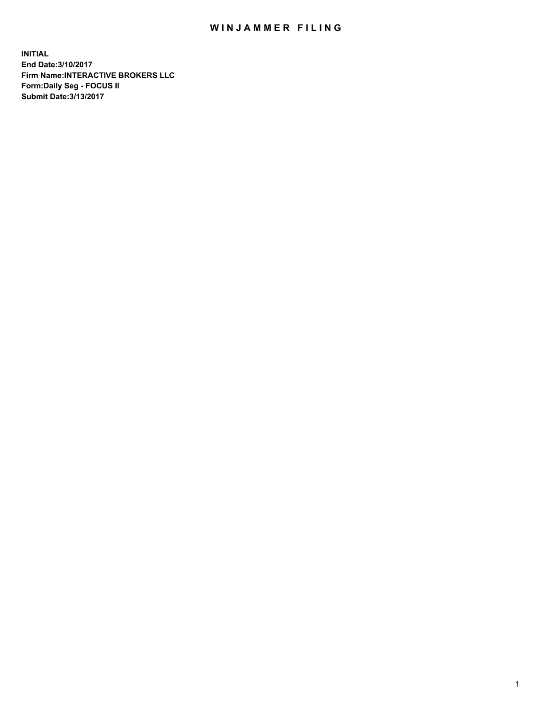## WIN JAMMER FILING

**INITIAL End Date:3/10/2017 Firm Name:INTERACTIVE BROKERS LLC Form:Daily Seg - FOCUS II Submit Date:3/13/2017**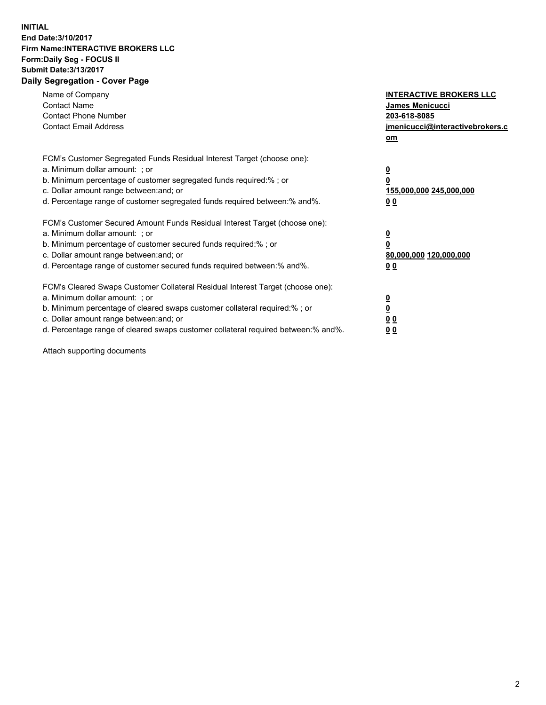## **INITIAL End Date:3/10/2017 Firm Name:INTERACTIVE BROKERS LLC Form:Daily Seg - FOCUS II Submit Date:3/13/2017 Daily Segregation - Cover Page**

| Name of Company<br><b>Contact Name</b><br><b>Contact Phone Number</b><br><b>Contact Email Address</b>                                                                                                                                                                                                                          | <b>INTERACTIVE BROKERS LLC</b><br>James Menicucci<br>203-618-8085<br>jmenicucci@interactivebrokers.c<br>om |
|--------------------------------------------------------------------------------------------------------------------------------------------------------------------------------------------------------------------------------------------------------------------------------------------------------------------------------|------------------------------------------------------------------------------------------------------------|
| FCM's Customer Segregated Funds Residual Interest Target (choose one):<br>a. Minimum dollar amount: ; or<br>b. Minimum percentage of customer segregated funds required:%; or<br>c. Dollar amount range between: and; or<br>d. Percentage range of customer segregated funds required between:% and%.                          | $\overline{\mathbf{0}}$<br>0<br>155,000,000 245,000,000<br>0 <sub>0</sub>                                  |
| FCM's Customer Secured Amount Funds Residual Interest Target (choose one):<br>a. Minimum dollar amount: ; or<br>b. Minimum percentage of customer secured funds required:%; or<br>c. Dollar amount range between: and; or<br>d. Percentage range of customer secured funds required between:% and%.                            | $\overline{\mathbf{0}}$<br>$\overline{\mathbf{0}}$<br>80,000,000 120,000,000<br>00                         |
| FCM's Cleared Swaps Customer Collateral Residual Interest Target (choose one):<br>a. Minimum dollar amount: ; or<br>b. Minimum percentage of cleared swaps customer collateral required:% ; or<br>c. Dollar amount range between: and; or<br>d. Percentage range of cleared swaps customer collateral required between:% and%. | $\overline{\mathbf{0}}$<br>$\overline{\mathbf{0}}$<br>0 <sub>0</sub><br><u>00</u>                          |

Attach supporting documents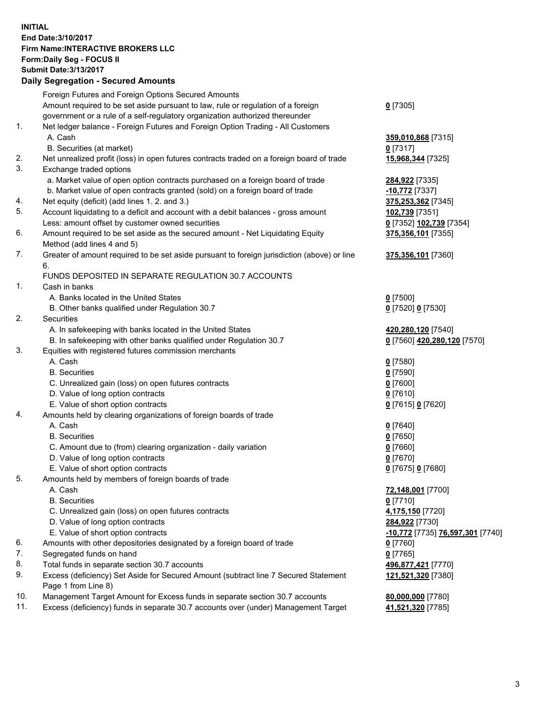## **INITIAL End Date:3/10/2017 Firm Name:INTERACTIVE BROKERS LLC Form:Daily Seg - FOCUS II Submit Date:3/13/2017 Daily Segregation - Secured Amounts**

| Foreign Futures and Foreign Options Secured Amounts                                       |                                                                                                                                                                                                                                                                                                                                                                                                                                                                                                                                                                                                                                                                                                                                                                                                                                                                                                                                                                                                                                                                                                                                                                                                                                                                                                                                                                                                                                                                                                                                                                                                                                                                                                                                                                                                                                                                                                                                                                                                                                                                                                                                              |
|-------------------------------------------------------------------------------------------|----------------------------------------------------------------------------------------------------------------------------------------------------------------------------------------------------------------------------------------------------------------------------------------------------------------------------------------------------------------------------------------------------------------------------------------------------------------------------------------------------------------------------------------------------------------------------------------------------------------------------------------------------------------------------------------------------------------------------------------------------------------------------------------------------------------------------------------------------------------------------------------------------------------------------------------------------------------------------------------------------------------------------------------------------------------------------------------------------------------------------------------------------------------------------------------------------------------------------------------------------------------------------------------------------------------------------------------------------------------------------------------------------------------------------------------------------------------------------------------------------------------------------------------------------------------------------------------------------------------------------------------------------------------------------------------------------------------------------------------------------------------------------------------------------------------------------------------------------------------------------------------------------------------------------------------------------------------------------------------------------------------------------------------------------------------------------------------------------------------------------------------------|
|                                                                                           | $0$ [7305]                                                                                                                                                                                                                                                                                                                                                                                                                                                                                                                                                                                                                                                                                                                                                                                                                                                                                                                                                                                                                                                                                                                                                                                                                                                                                                                                                                                                                                                                                                                                                                                                                                                                                                                                                                                                                                                                                                                                                                                                                                                                                                                                   |
|                                                                                           |                                                                                                                                                                                                                                                                                                                                                                                                                                                                                                                                                                                                                                                                                                                                                                                                                                                                                                                                                                                                                                                                                                                                                                                                                                                                                                                                                                                                                                                                                                                                                                                                                                                                                                                                                                                                                                                                                                                                                                                                                                                                                                                                              |
|                                                                                           |                                                                                                                                                                                                                                                                                                                                                                                                                                                                                                                                                                                                                                                                                                                                                                                                                                                                                                                                                                                                                                                                                                                                                                                                                                                                                                                                                                                                                                                                                                                                                                                                                                                                                                                                                                                                                                                                                                                                                                                                                                                                                                                                              |
| A. Cash                                                                                   | 359,010,868 [7315]                                                                                                                                                                                                                                                                                                                                                                                                                                                                                                                                                                                                                                                                                                                                                                                                                                                                                                                                                                                                                                                                                                                                                                                                                                                                                                                                                                                                                                                                                                                                                                                                                                                                                                                                                                                                                                                                                                                                                                                                                                                                                                                           |
|                                                                                           | 0 [7317]                                                                                                                                                                                                                                                                                                                                                                                                                                                                                                                                                                                                                                                                                                                                                                                                                                                                                                                                                                                                                                                                                                                                                                                                                                                                                                                                                                                                                                                                                                                                                                                                                                                                                                                                                                                                                                                                                                                                                                                                                                                                                                                                     |
| Net unrealized profit (loss) in open futures contracts traded on a foreign board of trade | 15,968,344 [7325]                                                                                                                                                                                                                                                                                                                                                                                                                                                                                                                                                                                                                                                                                                                                                                                                                                                                                                                                                                                                                                                                                                                                                                                                                                                                                                                                                                                                                                                                                                                                                                                                                                                                                                                                                                                                                                                                                                                                                                                                                                                                                                                            |
| Exchange traded options                                                                   |                                                                                                                                                                                                                                                                                                                                                                                                                                                                                                                                                                                                                                                                                                                                                                                                                                                                                                                                                                                                                                                                                                                                                                                                                                                                                                                                                                                                                                                                                                                                                                                                                                                                                                                                                                                                                                                                                                                                                                                                                                                                                                                                              |
|                                                                                           | 284,922 [7335]                                                                                                                                                                                                                                                                                                                                                                                                                                                                                                                                                                                                                                                                                                                                                                                                                                                                                                                                                                                                                                                                                                                                                                                                                                                                                                                                                                                                                                                                                                                                                                                                                                                                                                                                                                                                                                                                                                                                                                                                                                                                                                                               |
|                                                                                           | $-10,772$ [7337]                                                                                                                                                                                                                                                                                                                                                                                                                                                                                                                                                                                                                                                                                                                                                                                                                                                                                                                                                                                                                                                                                                                                                                                                                                                                                                                                                                                                                                                                                                                                                                                                                                                                                                                                                                                                                                                                                                                                                                                                                                                                                                                             |
|                                                                                           | 375,253,362 [7345]                                                                                                                                                                                                                                                                                                                                                                                                                                                                                                                                                                                                                                                                                                                                                                                                                                                                                                                                                                                                                                                                                                                                                                                                                                                                                                                                                                                                                                                                                                                                                                                                                                                                                                                                                                                                                                                                                                                                                                                                                                                                                                                           |
|                                                                                           | 102,739 [7351]                                                                                                                                                                                                                                                                                                                                                                                                                                                                                                                                                                                                                                                                                                                                                                                                                                                                                                                                                                                                                                                                                                                                                                                                                                                                                                                                                                                                                                                                                                                                                                                                                                                                                                                                                                                                                                                                                                                                                                                                                                                                                                                               |
|                                                                                           | 0 [7352] 102,739 [7354]                                                                                                                                                                                                                                                                                                                                                                                                                                                                                                                                                                                                                                                                                                                                                                                                                                                                                                                                                                                                                                                                                                                                                                                                                                                                                                                                                                                                                                                                                                                                                                                                                                                                                                                                                                                                                                                                                                                                                                                                                                                                                                                      |
|                                                                                           | 375,356,101 [7355]                                                                                                                                                                                                                                                                                                                                                                                                                                                                                                                                                                                                                                                                                                                                                                                                                                                                                                                                                                                                                                                                                                                                                                                                                                                                                                                                                                                                                                                                                                                                                                                                                                                                                                                                                                                                                                                                                                                                                                                                                                                                                                                           |
|                                                                                           |                                                                                                                                                                                                                                                                                                                                                                                                                                                                                                                                                                                                                                                                                                                                                                                                                                                                                                                                                                                                                                                                                                                                                                                                                                                                                                                                                                                                                                                                                                                                                                                                                                                                                                                                                                                                                                                                                                                                                                                                                                                                                                                                              |
|                                                                                           | 375,356,101 [7360]                                                                                                                                                                                                                                                                                                                                                                                                                                                                                                                                                                                                                                                                                                                                                                                                                                                                                                                                                                                                                                                                                                                                                                                                                                                                                                                                                                                                                                                                                                                                                                                                                                                                                                                                                                                                                                                                                                                                                                                                                                                                                                                           |
| 6.                                                                                        |                                                                                                                                                                                                                                                                                                                                                                                                                                                                                                                                                                                                                                                                                                                                                                                                                                                                                                                                                                                                                                                                                                                                                                                                                                                                                                                                                                                                                                                                                                                                                                                                                                                                                                                                                                                                                                                                                                                                                                                                                                                                                                                                              |
|                                                                                           |                                                                                                                                                                                                                                                                                                                                                                                                                                                                                                                                                                                                                                                                                                                                                                                                                                                                                                                                                                                                                                                                                                                                                                                                                                                                                                                                                                                                                                                                                                                                                                                                                                                                                                                                                                                                                                                                                                                                                                                                                                                                                                                                              |
|                                                                                           |                                                                                                                                                                                                                                                                                                                                                                                                                                                                                                                                                                                                                                                                                                                                                                                                                                                                                                                                                                                                                                                                                                                                                                                                                                                                                                                                                                                                                                                                                                                                                                                                                                                                                                                                                                                                                                                                                                                                                                                                                                                                                                                                              |
|                                                                                           | $0$ [7500]                                                                                                                                                                                                                                                                                                                                                                                                                                                                                                                                                                                                                                                                                                                                                                                                                                                                                                                                                                                                                                                                                                                                                                                                                                                                                                                                                                                                                                                                                                                                                                                                                                                                                                                                                                                                                                                                                                                                                                                                                                                                                                                                   |
|                                                                                           | 0 [7520] 0 [7530]                                                                                                                                                                                                                                                                                                                                                                                                                                                                                                                                                                                                                                                                                                                                                                                                                                                                                                                                                                                                                                                                                                                                                                                                                                                                                                                                                                                                                                                                                                                                                                                                                                                                                                                                                                                                                                                                                                                                                                                                                                                                                                                            |
|                                                                                           |                                                                                                                                                                                                                                                                                                                                                                                                                                                                                                                                                                                                                                                                                                                                                                                                                                                                                                                                                                                                                                                                                                                                                                                                                                                                                                                                                                                                                                                                                                                                                                                                                                                                                                                                                                                                                                                                                                                                                                                                                                                                                                                                              |
|                                                                                           | 420,280,120 [7540]                                                                                                                                                                                                                                                                                                                                                                                                                                                                                                                                                                                                                                                                                                                                                                                                                                                                                                                                                                                                                                                                                                                                                                                                                                                                                                                                                                                                                                                                                                                                                                                                                                                                                                                                                                                                                                                                                                                                                                                                                                                                                                                           |
|                                                                                           | 0 [7560] 420,280,120 [7570]                                                                                                                                                                                                                                                                                                                                                                                                                                                                                                                                                                                                                                                                                                                                                                                                                                                                                                                                                                                                                                                                                                                                                                                                                                                                                                                                                                                                                                                                                                                                                                                                                                                                                                                                                                                                                                                                                                                                                                                                                                                                                                                  |
|                                                                                           |                                                                                                                                                                                                                                                                                                                                                                                                                                                                                                                                                                                                                                                                                                                                                                                                                                                                                                                                                                                                                                                                                                                                                                                                                                                                                                                                                                                                                                                                                                                                                                                                                                                                                                                                                                                                                                                                                                                                                                                                                                                                                                                                              |
|                                                                                           | $0$ [7580]                                                                                                                                                                                                                                                                                                                                                                                                                                                                                                                                                                                                                                                                                                                                                                                                                                                                                                                                                                                                                                                                                                                                                                                                                                                                                                                                                                                                                                                                                                                                                                                                                                                                                                                                                                                                                                                                                                                                                                                                                                                                                                                                   |
|                                                                                           | $0$ [7590]                                                                                                                                                                                                                                                                                                                                                                                                                                                                                                                                                                                                                                                                                                                                                                                                                                                                                                                                                                                                                                                                                                                                                                                                                                                                                                                                                                                                                                                                                                                                                                                                                                                                                                                                                                                                                                                                                                                                                                                                                                                                                                                                   |
|                                                                                           | $0$ [7600]                                                                                                                                                                                                                                                                                                                                                                                                                                                                                                                                                                                                                                                                                                                                                                                                                                                                                                                                                                                                                                                                                                                                                                                                                                                                                                                                                                                                                                                                                                                                                                                                                                                                                                                                                                                                                                                                                                                                                                                                                                                                                                                                   |
|                                                                                           | $0$ [7610]                                                                                                                                                                                                                                                                                                                                                                                                                                                                                                                                                                                                                                                                                                                                                                                                                                                                                                                                                                                                                                                                                                                                                                                                                                                                                                                                                                                                                                                                                                                                                                                                                                                                                                                                                                                                                                                                                                                                                                                                                                                                                                                                   |
|                                                                                           | 0 [7615] 0 [7620]                                                                                                                                                                                                                                                                                                                                                                                                                                                                                                                                                                                                                                                                                                                                                                                                                                                                                                                                                                                                                                                                                                                                                                                                                                                                                                                                                                                                                                                                                                                                                                                                                                                                                                                                                                                                                                                                                                                                                                                                                                                                                                                            |
|                                                                                           |                                                                                                                                                                                                                                                                                                                                                                                                                                                                                                                                                                                                                                                                                                                                                                                                                                                                                                                                                                                                                                                                                                                                                                                                                                                                                                                                                                                                                                                                                                                                                                                                                                                                                                                                                                                                                                                                                                                                                                                                                                                                                                                                              |
|                                                                                           | $0$ [7640]                                                                                                                                                                                                                                                                                                                                                                                                                                                                                                                                                                                                                                                                                                                                                                                                                                                                                                                                                                                                                                                                                                                                                                                                                                                                                                                                                                                                                                                                                                                                                                                                                                                                                                                                                                                                                                                                                                                                                                                                                                                                                                                                   |
|                                                                                           | $0$ [7650]                                                                                                                                                                                                                                                                                                                                                                                                                                                                                                                                                                                                                                                                                                                                                                                                                                                                                                                                                                                                                                                                                                                                                                                                                                                                                                                                                                                                                                                                                                                                                                                                                                                                                                                                                                                                                                                                                                                                                                                                                                                                                                                                   |
|                                                                                           | $0$ [7660]                                                                                                                                                                                                                                                                                                                                                                                                                                                                                                                                                                                                                                                                                                                                                                                                                                                                                                                                                                                                                                                                                                                                                                                                                                                                                                                                                                                                                                                                                                                                                                                                                                                                                                                                                                                                                                                                                                                                                                                                                                                                                                                                   |
|                                                                                           | $0$ [7670]                                                                                                                                                                                                                                                                                                                                                                                                                                                                                                                                                                                                                                                                                                                                                                                                                                                                                                                                                                                                                                                                                                                                                                                                                                                                                                                                                                                                                                                                                                                                                                                                                                                                                                                                                                                                                                                                                                                                                                                                                                                                                                                                   |
|                                                                                           | 0 [7675] 0 [7680]                                                                                                                                                                                                                                                                                                                                                                                                                                                                                                                                                                                                                                                                                                                                                                                                                                                                                                                                                                                                                                                                                                                                                                                                                                                                                                                                                                                                                                                                                                                                                                                                                                                                                                                                                                                                                                                                                                                                                                                                                                                                                                                            |
|                                                                                           |                                                                                                                                                                                                                                                                                                                                                                                                                                                                                                                                                                                                                                                                                                                                                                                                                                                                                                                                                                                                                                                                                                                                                                                                                                                                                                                                                                                                                                                                                                                                                                                                                                                                                                                                                                                                                                                                                                                                                                                                                                                                                                                                              |
|                                                                                           | 72,148,001 [7700]                                                                                                                                                                                                                                                                                                                                                                                                                                                                                                                                                                                                                                                                                                                                                                                                                                                                                                                                                                                                                                                                                                                                                                                                                                                                                                                                                                                                                                                                                                                                                                                                                                                                                                                                                                                                                                                                                                                                                                                                                                                                                                                            |
|                                                                                           | $0$ [7710]                                                                                                                                                                                                                                                                                                                                                                                                                                                                                                                                                                                                                                                                                                                                                                                                                                                                                                                                                                                                                                                                                                                                                                                                                                                                                                                                                                                                                                                                                                                                                                                                                                                                                                                                                                                                                                                                                                                                                                                                                                                                                                                                   |
|                                                                                           | 4,175,150 [7720]                                                                                                                                                                                                                                                                                                                                                                                                                                                                                                                                                                                                                                                                                                                                                                                                                                                                                                                                                                                                                                                                                                                                                                                                                                                                                                                                                                                                                                                                                                                                                                                                                                                                                                                                                                                                                                                                                                                                                                                                                                                                                                                             |
|                                                                                           | 284,922 [7730]                                                                                                                                                                                                                                                                                                                                                                                                                                                                                                                                                                                                                                                                                                                                                                                                                                                                                                                                                                                                                                                                                                                                                                                                                                                                                                                                                                                                                                                                                                                                                                                                                                                                                                                                                                                                                                                                                                                                                                                                                                                                                                                               |
|                                                                                           | -10,772 [7735] 76,597,301 [7740]                                                                                                                                                                                                                                                                                                                                                                                                                                                                                                                                                                                                                                                                                                                                                                                                                                                                                                                                                                                                                                                                                                                                                                                                                                                                                                                                                                                                                                                                                                                                                                                                                                                                                                                                                                                                                                                                                                                                                                                                                                                                                                             |
|                                                                                           | 0 [7760]                                                                                                                                                                                                                                                                                                                                                                                                                                                                                                                                                                                                                                                                                                                                                                                                                                                                                                                                                                                                                                                                                                                                                                                                                                                                                                                                                                                                                                                                                                                                                                                                                                                                                                                                                                                                                                                                                                                                                                                                                                                                                                                                     |
|                                                                                           | $0$ [7765]                                                                                                                                                                                                                                                                                                                                                                                                                                                                                                                                                                                                                                                                                                                                                                                                                                                                                                                                                                                                                                                                                                                                                                                                                                                                                                                                                                                                                                                                                                                                                                                                                                                                                                                                                                                                                                                                                                                                                                                                                                                                                                                                   |
|                                                                                           | 496,877,421 [7770]                                                                                                                                                                                                                                                                                                                                                                                                                                                                                                                                                                                                                                                                                                                                                                                                                                                                                                                                                                                                                                                                                                                                                                                                                                                                                                                                                                                                                                                                                                                                                                                                                                                                                                                                                                                                                                                                                                                                                                                                                                                                                                                           |
| Page 1 from Line 8)                                                                       | 121,521,320 [7380]                                                                                                                                                                                                                                                                                                                                                                                                                                                                                                                                                                                                                                                                                                                                                                                                                                                                                                                                                                                                                                                                                                                                                                                                                                                                                                                                                                                                                                                                                                                                                                                                                                                                                                                                                                                                                                                                                                                                                                                                                                                                                                                           |
| Management Target Amount for Excess funds in separate section 30.7 accounts               | 80,000,000 [7780]                                                                                                                                                                                                                                                                                                                                                                                                                                                                                                                                                                                                                                                                                                                                                                                                                                                                                                                                                                                                                                                                                                                                                                                                                                                                                                                                                                                                                                                                                                                                                                                                                                                                                                                                                                                                                                                                                                                                                                                                                                                                                                                            |
| Excess (deficiency) funds in separate 30.7 accounts over (under) Management Target        | 41,521,320 [7785]                                                                                                                                                                                                                                                                                                                                                                                                                                                                                                                                                                                                                                                                                                                                                                                                                                                                                                                                                                                                                                                                                                                                                                                                                                                                                                                                                                                                                                                                                                                                                                                                                                                                                                                                                                                                                                                                                                                                                                                                                                                                                                                            |
|                                                                                           | Amount required to be set aside pursuant to law, rule or regulation of a foreign<br>government or a rule of a self-regulatory organization authorized thereunder<br>Net ledger balance - Foreign Futures and Foreign Option Trading - All Customers<br>B. Securities (at market)<br>a. Market value of open option contracts purchased on a foreign board of trade<br>b. Market value of open contracts granted (sold) on a foreign board of trade<br>Net equity (deficit) (add lines 1.2. and 3.)<br>Account liquidating to a deficit and account with a debit balances - gross amount<br>Less: amount offset by customer owned securities<br>Amount required to be set aside as the secured amount - Net Liquidating Equity<br>Method (add lines 4 and 5)<br>Greater of amount required to be set aside pursuant to foreign jurisdiction (above) or line<br>FUNDS DEPOSITED IN SEPARATE REGULATION 30.7 ACCOUNTS<br>Cash in banks<br>A. Banks located in the United States<br>B. Other banks qualified under Regulation 30.7<br>Securities<br>A. In safekeeping with banks located in the United States<br>B. In safekeeping with other banks qualified under Regulation 30.7<br>Equities with registered futures commission merchants<br>A. Cash<br><b>B.</b> Securities<br>C. Unrealized gain (loss) on open futures contracts<br>D. Value of long option contracts<br>E. Value of short option contracts<br>Amounts held by clearing organizations of foreign boards of trade<br>A. Cash<br><b>B.</b> Securities<br>C. Amount due to (from) clearing organization - daily variation<br>D. Value of long option contracts<br>E. Value of short option contracts<br>Amounts held by members of foreign boards of trade<br>A. Cash<br><b>B.</b> Securities<br>C. Unrealized gain (loss) on open futures contracts<br>D. Value of long option contracts<br>E. Value of short option contracts<br>Amounts with other depositories designated by a foreign board of trade<br>Segregated funds on hand<br>Total funds in separate section 30.7 accounts<br>Excess (deficiency) Set Aside for Secured Amount (subtract line 7 Secured Statement |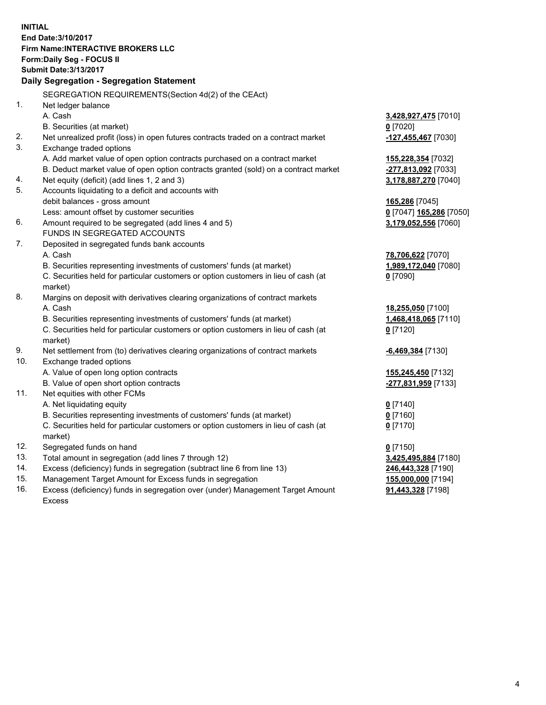**INITIAL End Date:3/10/2017 Firm Name:INTERACTIVE BROKERS LLC Form:Daily Seg - FOCUS II Submit Date:3/13/2017 Daily Segregation - Segregation Statement** SEGREGATION REQUIREMENTS(Section 4d(2) of the CEAct) 1. Net ledger balance A. Cash **3,428,927,475** [7010] B. Securities (at market) **0** [7020] 2. Net unrealized profit (loss) in open futures contracts traded on a contract market **-127,455,467** [7030] 3. Exchange traded options A. Add market value of open option contracts purchased on a contract market **155,228,354** [7032] B. Deduct market value of open option contracts granted (sold) on a contract market **-277,813,092** [7033] 4. Net equity (deficit) (add lines 1, 2 and 3) **3,178,887,270** [7040] 5. Accounts liquidating to a deficit and accounts with debit balances - gross amount **165,286** [7045] Less: amount offset by customer securities **0** [7047] **165,286** [7050] 6. Amount required to be segregated (add lines 4 and 5) **3,179,052,556** [7060] FUNDS IN SEGREGATED ACCOUNTS 7. Deposited in segregated funds bank accounts A. Cash **78,706,622** [7070] B. Securities representing investments of customers' funds (at market) **1,989,172,040** [7080] C. Securities held for particular customers or option customers in lieu of cash (at market) **0** [7090] 8. Margins on deposit with derivatives clearing organizations of contract markets A. Cash **18,255,050** [7100] B. Securities representing investments of customers' funds (at market) **1,468,418,065** [7110] C. Securities held for particular customers or option customers in lieu of cash (at market) **0** [7120] 9. Net settlement from (to) derivatives clearing organizations of contract markets **-6,469,384** [7130] 10. Exchange traded options A. Value of open long option contracts **155,245,450** [7132] B. Value of open short option contracts **-277,831,959** [7133] 11. Net equities with other FCMs A. Net liquidating equity **0** [7140] B. Securities representing investments of customers' funds (at market) **0** [7160] C. Securities held for particular customers or option customers in lieu of cash (at market) **0** [7170] 12. Segregated funds on hand **0** [7150] 13. Total amount in segregation (add lines 7 through 12) **3,425,495,884** [7180] 14. Excess (deficiency) funds in segregation (subtract line 6 from line 13) **246,443,328** [7190] 15. Management Target Amount for Excess funds in segregation **155,000,000** [7194]

16. Excess (deficiency) funds in segregation over (under) Management Target Amount Excess

**91,443,328** [7198]